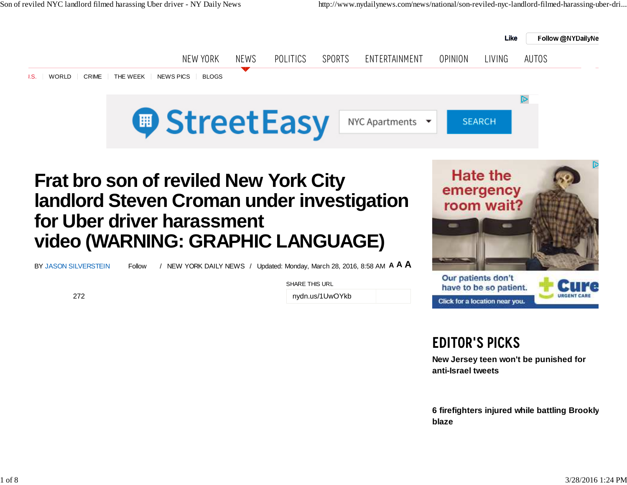

# **Frat bro son of reviled New York City landlord Steven Croman under investigationfor Uber driver harassmentvideo (WARNING: GRAPHIC LANGUAGE)**

BY JASON SILVERSTEIN

272

**A <sup>A</sup> <sup>A</sup>** Follow / NEW YORK DAILY NEWS / Updated: Monday, March 28, 2016, 8:58 AM

SHARE THIS URL

nydn.us/1UwOYkb



## Editor's Picks

have to be so patient. Click for a location near you.

**New Jersey teen won't be punished foranti-Israel tweets**

**6 firefighters injured while battling Brookly blaze**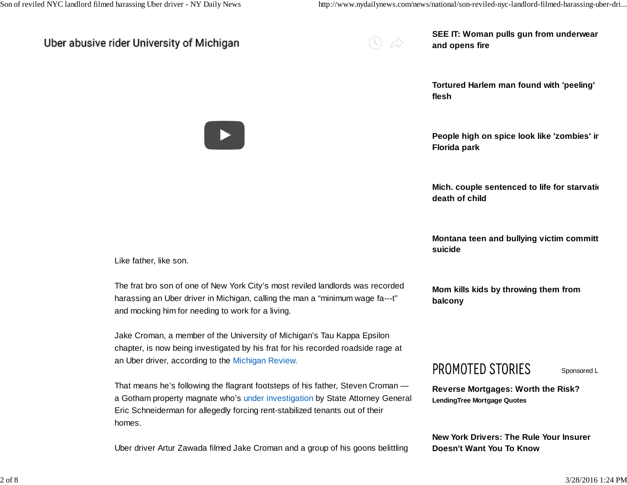### Uber abusive rider University of Michigan

|  | . . |
|--|-----|

**SEE IT: Woman pulls gun from underwearand opens fire**

**Tortured Harlem man found with 'peeling'flesh**

**People high on spice look like 'zombies' inFlorida park**

**Mich. couple sentenced to life for starvationally death of child**

**Montana teen and bullying victim committ suicide**

**Mom kills kids by throwing them frombalcony** 

### PROMOTED STORIES

Sponsored L

**Reverse Mortgages: Worth the Risk?LendingTree Mortgage Quotes**

**New York Drivers: The Rule Your InsurerDoesn't Want You To Know**



Like father, like son.

The frat bro son of one of New York City's most reviled landlords was recordedharassing an Uber driver in Michigan, calling the man a "minimum wage fa---t" and mocking him for needing to work for a living.

Jake Croman, a member of the University of Michigan's Tau Kappa Epsilon chapter, is now being investigated by his frat for his recorded roadside rage atan Uber driver, according to the Michigan Review.

That means he's following the flagrant footsteps of his father, Steven Croman a Gotham property magnate who's under investigation by State Attorney GeneralEric Schneiderman for allegedly forcing rent-stabilized tenants out of theirhomes.

Uber driver Artur Zawada filmed Jake Croman and a group of his goons belittling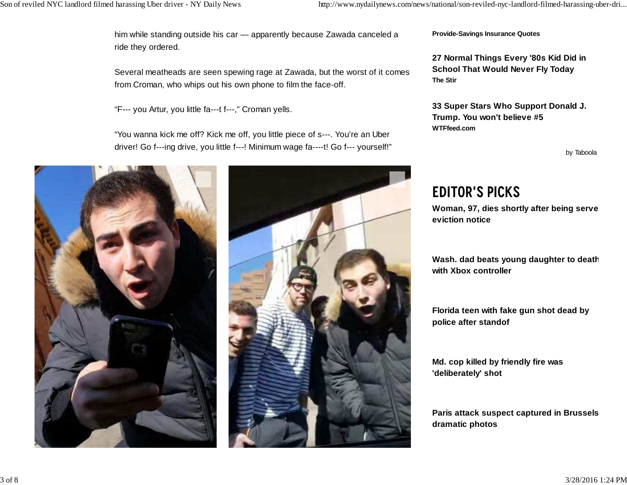him while standing outside his car — apparently because Zawada canceled aride they ordered.

Several meatheads are seen spewing rage at Zawada, but the worst of it comesfrom Croman, who whips out his own phone to film the face-off.

"F--- you Artur, you little fa---t f---," Croman yells.

"You wanna kick me off? Kick me off, you little piece of s---. You're an Uberdriver! Go f---ing drive, you little f---! Minimum wage fa----t! Go f--- yourself!"





**Provide-Savings Insurance Quotes**

**27 Normal Things Every '80s Kid Did inSchool That Would Never Fly TodayThe Stir**

**33 Super Stars Who Support Donald J.Trump. You won't believe #5WTFfeed.com**

by Taboola

## Editor's Picks

 **Woman, 97, dies shortly after being servedeviction notice**

**Wash. dad beats young daughter to deathwith Xbox controller**

**Florida teen with fake gun shot dead bypolice after standof**

**Md. cop killed by friendly fire was'deliberately' shot**

**Paris attack suspect captured in Brussels indramatic photos**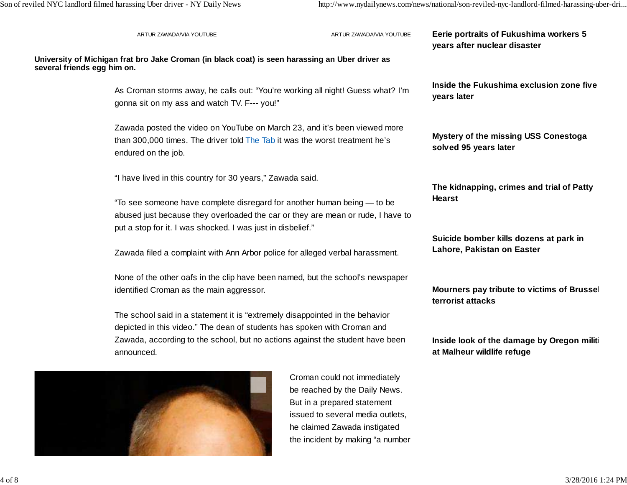演出し

|                             | ARTUR ZAWADA/VIA YOUTUBE                                                                                                                                                                                                                                | ARTUR ZAWADA/VIA YOUTUBE                                                                                                                                                                             | Eerie portraits of Fukushima workers 5<br>years after nuclear disaster |  |
|-----------------------------|---------------------------------------------------------------------------------------------------------------------------------------------------------------------------------------------------------------------------------------------------------|------------------------------------------------------------------------------------------------------------------------------------------------------------------------------------------------------|------------------------------------------------------------------------|--|
| several friends egg him on. | University of Michigan frat bro Jake Croman (in black coat) is seen harassing an Uber driver as                                                                                                                                                         |                                                                                                                                                                                                      |                                                                        |  |
|                             | gonna sit on my ass and watch TV. F--- you!"                                                                                                                                                                                                            | As Croman storms away, he calls out: "You're working all night! Guess what? I'm                                                                                                                      |                                                                        |  |
|                             | Zawada posted the video on YouTube on March 23, and it's been viewed more<br>than 300,000 times. The driver told The Tab it was the worst treatment he's<br>endured on the job.                                                                         | <b>Mystery of the missing USS Conestoga</b><br>solved 95 years later                                                                                                                                 |                                                                        |  |
|                             | "I have lived in this country for 30 years," Zawada said.                                                                                                                                                                                               | The kidnapping, crimes and trial of Patty<br><b>Hearst</b>                                                                                                                                           |                                                                        |  |
|                             | "To see someone have complete disregard for another human being - to be<br>abused just because they overloaded the car or they are mean or rude, I have to                                                                                              |                                                                                                                                                                                                      |                                                                        |  |
|                             |                                                                                                                                                                                                                                                         | put a stop for it. I was shocked. I was just in disbelief."<br>Zawada filed a complaint with Ann Arbor police for alleged verbal harassment.                                                         |                                                                        |  |
|                             | None of the other oafs in the clip have been named, but the school's newspaper<br>identified Croman as the main aggressor.                                                                                                                              | Mourners pay tribute to victims of Brussel<br>terrorist attacks                                                                                                                                      |                                                                        |  |
|                             | The school said in a statement it is "extremely disappointed in the behavior<br>depicted in this video." The dean of students has spoken with Croman and<br>Zawada, according to the school, but no actions against the student have been<br>announced. | Inside look of the damage by Oregon militi<br>at Malheur wildlife refuge                                                                                                                             |                                                                        |  |
|                             |                                                                                                                                                                                                                                                         | Croman could not immediately<br>be reached by the Daily News.<br>But in a prepared statement<br>issued to several media outlets,<br>he claimed Zawada instigated<br>the incident by making "a number |                                                                        |  |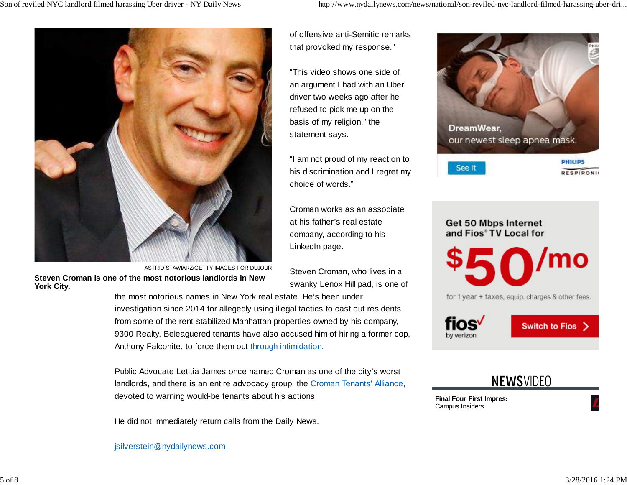

**Steven Croman is one of the most notorious landlords in NewYork City.**ASTRID STAWIARZ/GETTY IMAGES FOR DUJOUR of offensive anti-Semitic remarksthat provoked my response."

"This video shows one side ofan argument I had with an Uberdriver two weeks ago after he refused to pick me up on thebasis of my religion," thestatement says.

"I am not proud of my reaction to his discrimination and I regret mychoice of words."

Croman works as an associateat his father's real estate company, according to hisLinkedIn page.

Steven Croman, who lives in aswanky Lenox Hill pad, is one of

the most notorious names in New York real estate. He's been underinvestigation since 2014 for allegedly using illegal tactics to cast out residentsfrom some of the rent-stabilized Manhattan properties owned by his company,9300 Realty. Beleaguered tenants have also accused him of hiring a former cop,Anthony Falconite, to force them out through intimidation.

Public Advocate Letitia James once named Croman as one of the city's worstlandlords, and there is an entire advocacy group, the Croman Tenants' Alliance,devoted to warning would-be tenants about his actions.

He did not immediately return calls from the Daily News.

jsilverstein@nydailynews.com



Get 50 Mbps Internet and Fios® TV Local for /mo for 1 year + taxes, equip. charges & other fees. fios√ Switch to Fios > by verizon

|  |  | <b>NEWSVIDEO</b> |  |
|--|--|------------------|--|
|  |  |                  |  |

**Final Four First Impress** Campus Insiders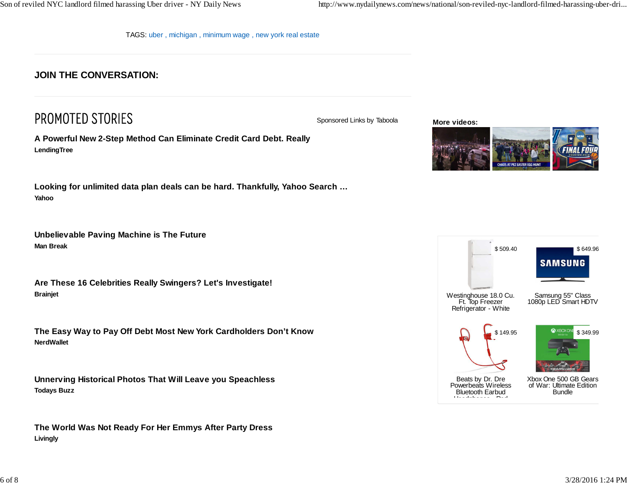TAGS: uber , michigan , minimum wage , new york real estate

#### **JOIN THE CONVERSATION:**

## PROMOTED STORIES

**A Powerful New 2-Step Method Can Eliminate Credit Card Debt. ReallyLendingTree**

**Looking for unlimited data plan deals can be hard. Thankfully, Yahoo Search …Yahoo**

**Unbelievable Paving Machine is The FutureMan Break**

**Are These 16 Celebrities Really Swingers? Let's Investigate!Brainjet**

**The Easy Way to Pay Off Debt Most New York Cardholders Don't KnowNerdWallet**

**Unnerving Historical Photos That Will Leave you SpeachlessTodays Buzz**

**The World Was Not Ready For Her Emmys After Party DressLivingly**

Sponsored Links by Taboola

**More videos:**



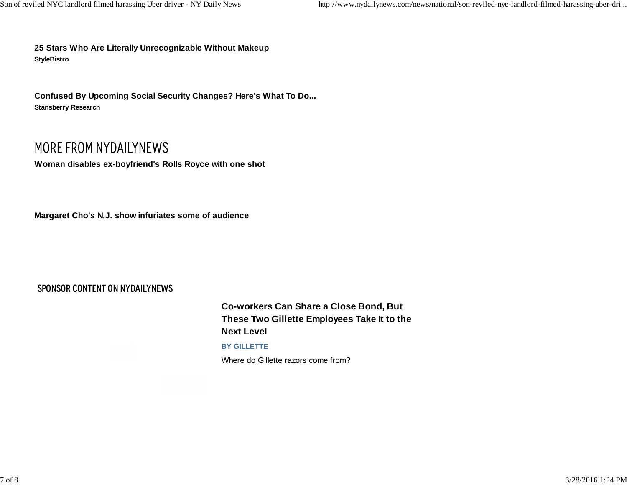**25 Stars Who Are Literally Unrecognizable Without MakeupStyleBistro**

**Confused By Upcoming Social Security Changes? Here's What To Do...Stansberry Research**

## MORE FROM NYDAILYNEWS

**Woman disables ex-boyfriend's Rolls Royce with one shot**

**Margaret Cho's N.J. show infuriates some of audience**

#### SPONSOR CONTENT ON NYDAILYNEWS

**Co-workers Can Share a Close Bond, ButThese Two Gillette Employees Take It to theNext Level**

#### **BY GILLETTE**

Where do Gillette razors come from?